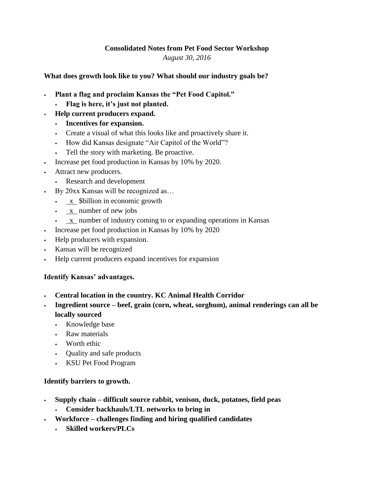## **Consolidated Notes from Pet Food Sector Workshop** *August 30, 2016*

#### **What does growth look like to you? What should our industry goals be?**

- **Plant a flag and proclaim Kansas the "Pet Food Capitol."**
	- **Flag is here, it's just not planted.**
- **Help current producers expand.** 
	- **Incentives for expansion.**
	- Create a visual of what this looks like and proactively share it.
	- How did Kansas designate "Air Capitol of the World"?
	- Tell the story with marketing. Be proactive.
- Increase pet food production in Kansas by 10% by 2020.
- Attract new producers.
	- Research and development
- By 20xx Kansas will be recognized as…
	- x \$billion in economic growth
	- x number of new jobs
	- x number of industry coming to or expanding operations in Kansas
- Increase pet food production in Kansas by 10% by 2020
- Help producers with expansion.
- Kansas will be recognized
- Help current producers expand incentives for expansion

## **Identify Kansas' advantages.**

- **Central location in the country. KC Animal Health Corridor**
- **Ingredient source – beef, grain (corn, wheat, sorghum), animal renderings can all be locally sourced**
	- Knowledge base
	- Raw materials
	- Worth ethic
	- Quality and safe products
	- KSU Pet Food Program

## **Identify barriers to growth.**

- **Supply chain – difficult source rabbit, venison, duck, potatoes, field peas**
	- **Consider backhauls/LTL networks to bring in**
- **Workforce – challenges finding and hiring qualified candidates** 
	- **Skilled workers/PLCs**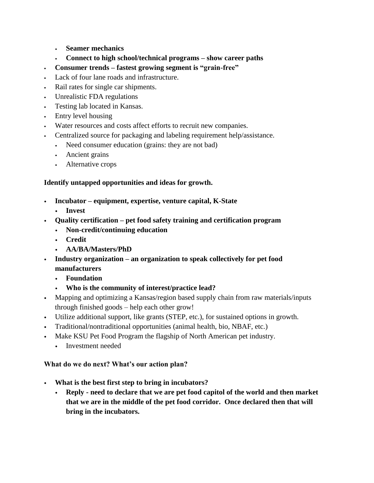- **Seamer mechanics**
- **Connect to high school/technical programs – show career paths**
- **Consumer trends – fastest growing segment is "grain-free"**
- Lack of four lane roads and infrastructure.
- Rail rates for single car shipments.
- Unrealistic FDA regulations
- Testing lab located in Kansas.
- Entry level housing
- Water resources and costs affect efforts to recruit new companies.
- Centralized source for packaging and labeling requirement help/assistance.
	- Need consumer education (grains: they are not bad)
	- Ancient grains
	- Alternative crops

# **Identify untapped opportunities and ideas for growth.**

- **Incubator – equipment, expertise, venture capital, K-State**
	- **Invest**
- **Quality certification – pet food safety training and certification program**
	- **Non-credit/continuing education**
		- **Credit**
		- **AA/BA/Masters/PhD**
- **Industry organization – an organization to speak collectively for pet food manufacturers**
	- **Foundation**
	- **Who is the community of interest/practice lead?**
- Mapping and optimizing a Kansas/region based supply chain from raw materials/inputs through finished goods – help each other grow!
- Utilize additional support, like grants (STEP, etc.), for sustained options in growth.
- Traditional/nontraditional opportunities (animal health, bio, NBAF, etc.)
- Make KSU Pet Food Program the flagship of North American pet industry.
	- Investment needed

## **What do we do next? What's our action plan?**

- **What is the best first step to bring in incubators?**
	- **Reply - need to declare that we are pet food capitol of the world and then market that we are in the middle of the pet food corridor. Once declared then that will bring in the incubators.**